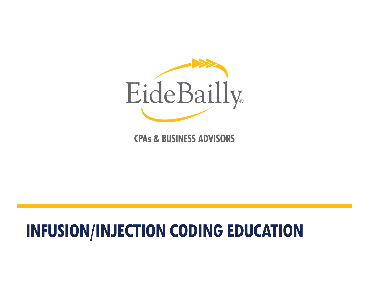

#### **CPAs & BUSINESS ADVISORS**

# **INFUSION/INJECTION CODING EDUCATION**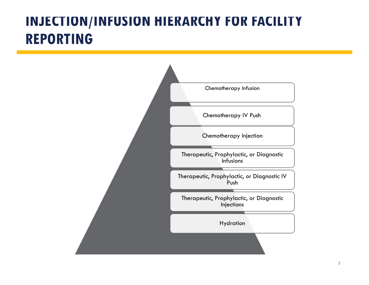#### **INJECTION/INFUSION HIERARCHY FOR FACILITY REPORTING**

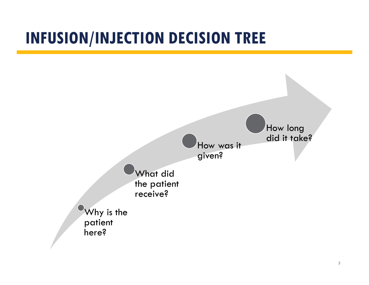#### **INFUSION/INJECTION DECISION TREE**

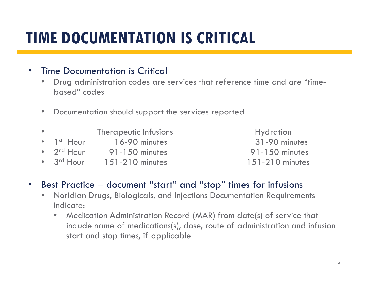# **TIME DOCUMENTATION IS CRITICAL**

#### •Time Documentation is Critical

- • Drug administration codes are services that reference time and are "timebased" codes
- $\bullet$ Documentation should support the services reported

|                                | <b>Therapeutic Infusions</b> | <b>Hydration</b> |
|--------------------------------|------------------------------|------------------|
| $\bullet$ 1st Hour             | 16-90 minutes                | 31-90 minutes    |
| $\bullet$ 2 <sup>nd</sup> Hour | 91-150 minutes               | 91-150 minutes   |
| $\bullet$ 3 <sup>rd</sup> Hour | 151-210 minutes              | 151-210 minutes  |
|                                |                              |                  |

#### $\bullet$ Best Practice – document "start" and "stop" times for infusions

- $\bullet$  Noridian Drugs, Biologicals, and Injections Documentation Requirements indicate:
	- • Medication Administration Record (MAR) from date(s) of service that include name of medications(s), dose, route of administration and infusion start and stop times, if applicable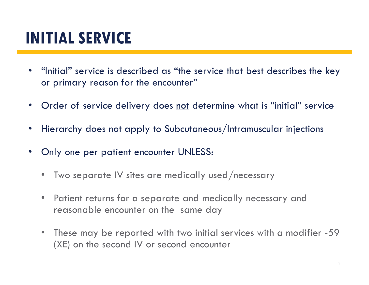### **INITIAL SERVICE**

- • "Initial" service is described as "the service that best describes the key or primary reason for the encounter"
- $\bullet$ Order of service delivery does not determine what is "initial" service
- $\bullet$ Hierarchy does not apply to Subcutaneous/Intramuscular injections
- $\bullet$  Only one per patient encounter UNLESS:
	- •Two separate IV sites are medically used/necessary
	- $\bullet$  Patient returns for a separate and medically necessary and reasonable encounter on the same day
	- These may be reported with two initial services with a modifier -59 (XE) on the second IV or second encounter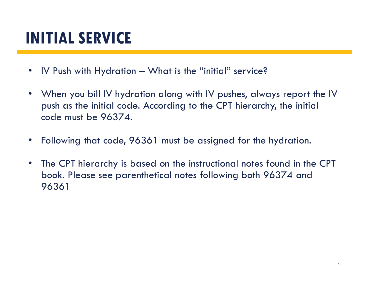# **INITIAL SERVICE**

- •IV Push with Hydration – What is the "initial" service?
- $\bullet$  When you bill IV hydration along with IV pushes, always report the IV push as the initial code. According to the CPT hierarchy, the initial code must be 96374.
- $\bullet$ Following that code, 96361 must be assigned for the hydration.
- $\bullet$  The CPT hierarchy is based on the instructional notes found in the CPT book. Please see parenthetical notes following both 96374 and 96361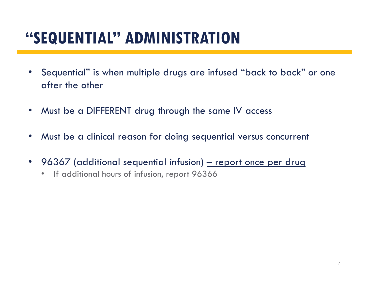#### **"SEQUENTIAL" ADMINISTRATION**

- $\bullet$  Sequential" is when multiple drugs are infused "back to back" or one after the other
- $\bullet$ Must be a DIFFERENT drug through the same IV access
- $\bullet$ Must be a clinical reason for doing sequential versus concurrent
- $\bullet$ 96367 (additional sequential infusion) – report once per drug
	- $\bullet$ If additional hours of infusion, report 96366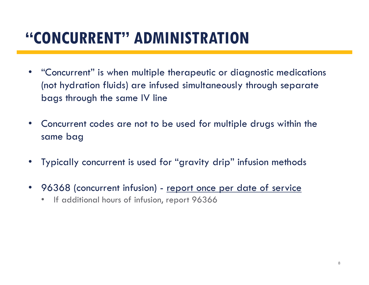#### **"CONCURRENT" ADMINISTRATION**

- • "Concurrent" is when multiple therapeutic or diagnostic medications (not hydration fluids) are infused simultaneously through separate bags through the same IV line
- • Concurrent codes are not to be used for multiple drugs within the same bag
- •Typically concurrent is used for "gravity drip" infusion methods
- $\bullet$ 96368 (concurrent infusion) - report once per date of service
	- $\bullet$ If additional hours of infusion, report 96366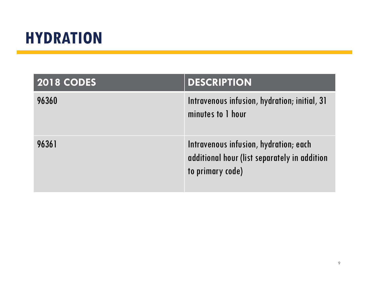| <b>2018 CODES</b> | <b>DESCRIPTION</b>                                                                                        |
|-------------------|-----------------------------------------------------------------------------------------------------------|
| 96360             | Intravenous infusion, hydration; initial, 31<br>minutes to 1 hour                                         |
| 96361             | Intravenous infusion, hydration; each<br>additional hour (list separately in addition<br>to primary code) |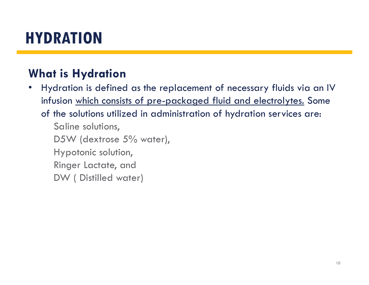#### **What is Hydration**

- • Hydration is defined as the replacement of necessary fluids via an IV infusion which consists of pre-packaged fluid and electrolytes. Some of the solutions utilized in administration of hydration services are: Saline solutions,
	- D5W (dextrose 5% water),
	- Hypotonic solution,
	- Ringer Lactate, and
	- DW ( Distilled water)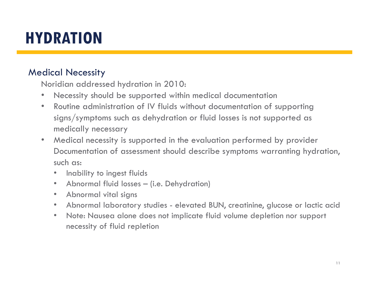#### Medical Necessity

Noridian addressed hydration in 2010:

- $\bullet$ Necessity should be supported within medical documentation
- $\bullet$  Routine administration of IV fluids without documentation of supporting signs/symptoms such as dehydration or fluid losses is not supported as medically necessary
- $\bullet$  Medical necessity is supported in the evaluation performed by provider Documentation of assessment should describe symptoms warranting hydration, such as:
	- •Inability to ingest fluids
	- $\bullet$ Abnormal fluid losses – (i.e. Dehydration)
	- $\bullet$ Abnormal vital signs
	- $\bullet$ Abnormal laboratory studies - elevated BUN, creatinine, glucose or lactic acid
	- $\bullet$  Note: Nausea alone does not implicate fluid volume depletion nor support necessity of fluid repletion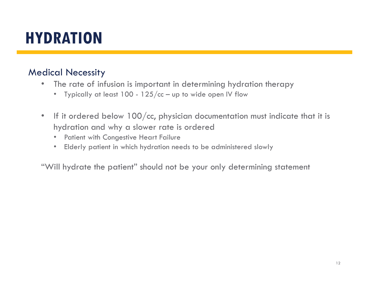#### Medical Necessity

- $\bullet$  The rate of infusion is important in determining hydration therapy
	- Typically at least  $100$   $125/\text{cc}$  up to wide open IV flow
- • If it ordered below 100/cc, physician documentation must indicate that it is hydration and why a slower rate is ordered
	- •Patient with Congestive Heart Failure
	- •Elderly patient in which hydration needs to be administered slowly

"Will hydrate the patient" should not be your only determining statement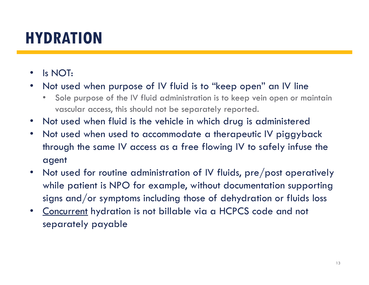- •Is NOT:
- • Not used when purpose of IV fluid is to "keep open" an IV line
	- • Sole purpose of the IV fluid administration is to keep vein open or maintain vascular access, this should not be separately reported.
- $\bullet$ Not used when fluid is the vehicle in which drug is administered
- $\bullet$  Not used when used to accommodate a therapeutic IV piggyback through the same IV access as a free flowing IV to safely infuse the agent
- $\bullet$  Not used for routine administration of IV fluids, pre/post operatively while patient is NPO for example, without documentation supporting signs and/or symptoms including those of dehydration or fluids loss
- • Concurrent hydration is not billable via a HCPCS code and not separately payable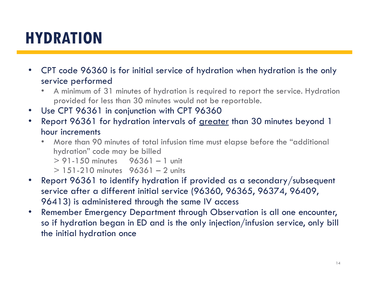- $\bullet$  CPT code 96360 is for initial service of hydration when hydration is the only service performed
	- • A minimum of 31 minutes of hydration is required to report the service. Hydration provided for less than 30 minutes would not be reportable.
- $\bullet$ Use CPT 96361 in conjunction with CPT 96360
- $\bullet$  Report 96361 for hydration intervals of greater than 30 minutes beyond 1 hour increments
	- • More than 90 minutes of total infusion time must elapse before the "additional hydration" code may be billed
		- > 91-150 minutes 96361 1 unit
		- $> 151 210$  minutes  $96361 2$  units
- $\bullet$  Report 96361 to identify hydration if provided as a secondary/subsequent service after a different initial service (96360, 96365, 96374, 96409, 96413) is administered through the same IV access
- $\bullet$  Remember Emergency Department through Observation is all one encounter, so if hydration began in ED and is the only injection/infusion service, only bill the initial hydration once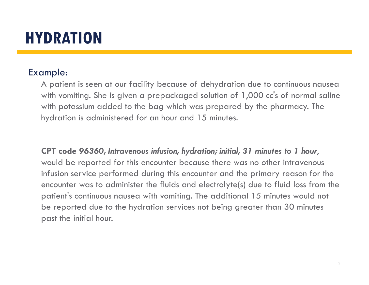#### Example:

A patient is seen at our facility because of dehydration due to continuous nausea with vomiting. She is given a prepackaged solution of 1,000 cc's of normal saline with potassium added to the bag which was prepared by the pharmacy. The hydration is administered for an hour and 15 minutes.

**CPT code** *96360, Intravenous infusion, hydration; initial, 31 minutes to 1 hour*, would be reported for this encounter because there was no other intravenous infusion service performed during this encounter and the primary reason for the encounter was to administer the fluids and electrolyte(s) due to fluid loss from the patient's continuous nausea with vomiting. The additional 15 minutes would not be reported due to the hydration services not being greater than 30 minutes past the initial hour.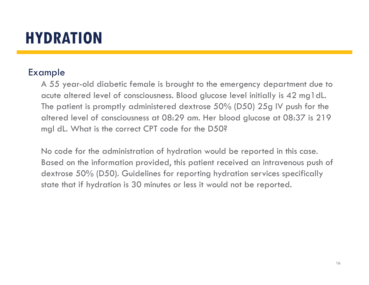#### Example

A 55 year-old diabetic female is brought to the emergency department due to acute altered level of consciousness. Blood glucose level initially is 42 mg1dL. The patient is promptly administered dextrose 50% (D50) 25g IV push for the altered level of consciousness at 08:29 am. Her blood glucose at 08:37 is 219 mgl dL. What is the correct CPT code for the D50?

No code for the administration of hydration would be reported in this case. Based on the information provided, this patient received an intravenous push of dextrose 50% (D50). Guidelines for reporting hydration services specifically state that if hydration is 30 minutes or less it would not be reported.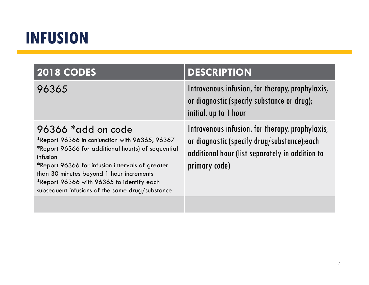| <b>2018 CODES</b>                                                                                                                                                                                                                                                                                                                     | <b>DESCRIPTION</b>                                                                                                                                                  |
|---------------------------------------------------------------------------------------------------------------------------------------------------------------------------------------------------------------------------------------------------------------------------------------------------------------------------------------|---------------------------------------------------------------------------------------------------------------------------------------------------------------------|
| 96365                                                                                                                                                                                                                                                                                                                                 | Intravenous infusion, for therapy, prophylaxis,<br>or diagnostic (specify substance or drug);<br>initial, up to 1 hour                                              |
| 96366 *add on code<br>*Report 96366 in conjunction with 96365, 96367<br>*Report 96366 for additional hour(s) of sequential<br>infusion<br>*Report 96366 for infusion intervals of greater<br>than 30 minutes beyond 1 hour increments<br>*Report 96366 with 96365 to identify each<br>subsequent infusions of the same drug/substance | Intravenous infusion, for therapy, prophylaxis,<br>or diagnostic (specify drug/substance); each<br>additional hour (list separately in addition to<br>primary code) |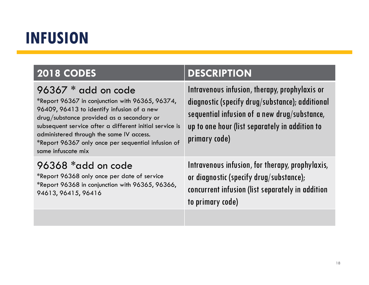| <b>2018 CODES</b>                                                                                                                                                                                                                                                                                                                                    | <b>DESCRIPTION</b>                                                                                                                                                                                                  |
|------------------------------------------------------------------------------------------------------------------------------------------------------------------------------------------------------------------------------------------------------------------------------------------------------------------------------------------------------|---------------------------------------------------------------------------------------------------------------------------------------------------------------------------------------------------------------------|
| 96367 * add on code<br>*Report 96367 in conjunction with 96365, 96374,<br>96409, 96413 to identify infusion of a new<br>drug/substance provided as a secondary or<br>subsequent service after a different initial service is<br>administered through the same IV access.<br>*Report 96367 only once per sequential infusion of<br>same infuscate mix | Intravenous infusion, therapy, prophylaxis or<br>diagnostic (specify drug/substance); additional<br>sequential infusion of a new drug/substance,<br>up to one hour (list separately in addition to<br>primary code) |
| 96368 *add on code<br>*Report 96368 only once per date of service<br>*Report 96368 in conjunction with 96365, 96366,<br>94613, 96415, 96416                                                                                                                                                                                                          | Intravenous infusion, for therapy, prophylaxis,<br>or diagnostic (specify drug/substance);<br>concurrent infusion (list separately in addition<br>to primary code)                                                  |
|                                                                                                                                                                                                                                                                                                                                                      |                                                                                                                                                                                                                     |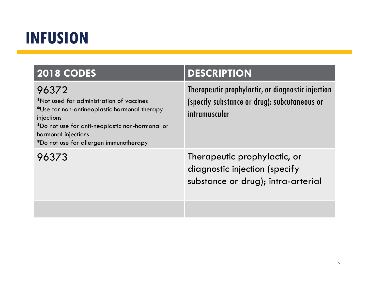| <b>2018 CODES</b>                                                                                                                                                                                                                   | <b>DESCRIPTION</b>                                                                                                 |
|-------------------------------------------------------------------------------------------------------------------------------------------------------------------------------------------------------------------------------------|--------------------------------------------------------------------------------------------------------------------|
| 96372<br>*Not used for administration of vaccines<br>*Use for non-antineoplastic hormonal therapy<br>injections<br>*Do not use for anti-neoplastic non-hormonal or<br>hormonal injections<br>*Do not use for allergen immunotherapy | Therapeutic prophylactic, or diagnostic injection<br>(specify substance or drug); subcutaneous or<br>intramuscular |
| 96373                                                                                                                                                                                                                               | Therapeutic prophylactic, or<br>diagnostic injection (specify<br>substance or drug); intra-arterial                |
|                                                                                                                                                                                                                                     |                                                                                                                    |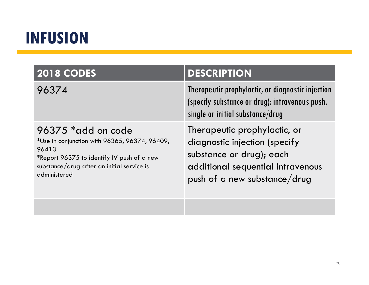| Therapeutic prophylactic, or diagnostic injection<br>(specify substance or drug); intravenous push,<br>single or initial substance/drug                        |
|----------------------------------------------------------------------------------------------------------------------------------------------------------------|
| Therapeutic prophylactic, or<br>diagnostic injection (specify<br>substance or drug); each<br>additional sequential intravenous<br>push of a new substance/drug |
|                                                                                                                                                                |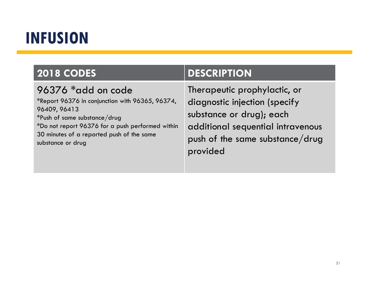#### 96376 \*add on code

\*Report 96376 in conjunction with 96365, 96374, 96409, 96413 \*Push of same substance/drug \*Do not report 96376 for a push performed within 30 minutes of a reported push of the same substance or drug

#### **2018 CODES DESCRIPTION**

Therapeutic prophylactic, or diagnostic injection (specify substance or drug); each additional sequential intravenous push of the same substance/drug provided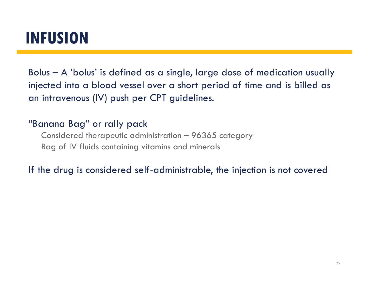Bolus – A 'bolus' is defined as a single, large dose of medication usually injected into a blood vessel over a short period of time and is billed as an intravenous (IV) push per CPT guidelines.

#### "Banana Bag" or rally pack

Considered therapeutic administration – 96365 category Bag of IV fluids containing vitamins and minerals

If the drug is considered self-administrable, the injection is not covered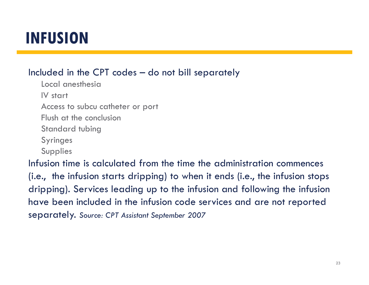#### Included in the CPT codes – do not bill separately

Local anesthesiaIV start Access to subcu catheter or port Flush at the conclusionStandard tubing Syringes Supplies

Infusion time is calculated from the time the administration commences (i.e., the infusion starts dripping) to when it ends (i.e., the infusion stops dripping). Services leading up to the infusion and following the infusion have been included in the infusion code services and are not reported separately. *Source: CPT Assistant September 2007*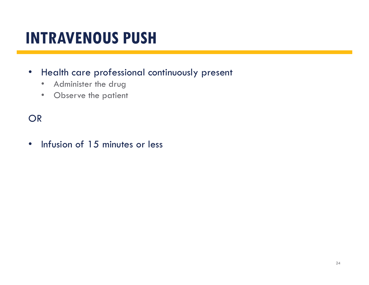#### **INTRAVENOUS PUSH**

#### $\bullet$ Health care professional continuously present

- •Administer the drug
- Observe the patient

OR

•Infusion of 15 minutes or less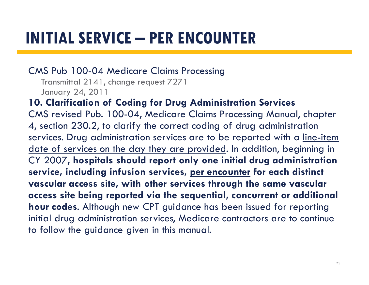### **INITIAL SERVICE – PER ENCOUNTER**

CMS Pub 100-04 Medicare Claims Processing Transmittal 2141, change request 7271 January 24, 2011

#### **10. Clarification of Coding for Drug Administration Services**

CMS revised Pub. 100-04, Medicare Claims Processing Manual, chapter 4, section 230.2, to clarify the correct coding of drug administration services. Drug administration services are to be reported with a line-item date of services on the day they are provided. In addition, beginning in CY 2007, **hospitals should report only one initial drug administration service, including infusion services, per encounter for each distinct vascular access site, with other services through the same vascular access site being reported via the sequential, concurrent or additional hour codes**. Although new CPT guidance has been issued for reporting initial drug administration services, Medicare contractors are to continue to follow the guidance given in this manual.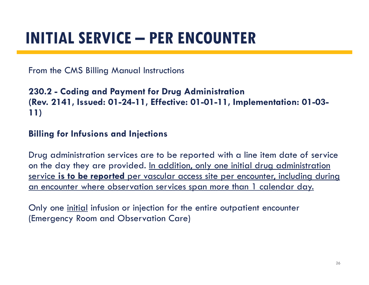# **INITIAL SERVICE – PER ENCOUNTER**

From the CMS Billing Manual Instructions

#### **230.2 - Coding and Payment for Drug Administration (Rev. 2141, Issued: 01-24-11, Effective: 01-01-11, Implementation: 01-03- 11)**

#### **Billing for Infusions and Injections**

Drug administration services are to be reported with a line item date of service on the day they are provided. In addition, only one initial drug administration service **is to be reported** per vascular access site per encounter, including during an encounter where observation services span more than 1 calendar day.

Only one initial infusion or injection for the entire outpatient encounter (Emergency Room and Observation Care)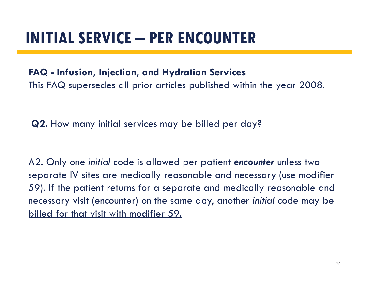#### **INITIAL SERVICE – PER ENCOUNTER**

#### **FAQ - Infusion, Injection, and Hydration Services**

This FAQ supersedes all prior articles published within the year 2008.

**Q2.** How many initial services may be billed per day?

A2. Only one *initial* code is allowed per patient *encounter* unless two separate IV sites are medically reasonable and necessary (use modifier 59). If the patient returns for a separate and medically reasonable and necessary visit (encounter) on the same day, another *initial* code may be billed for that visit with modifier 59.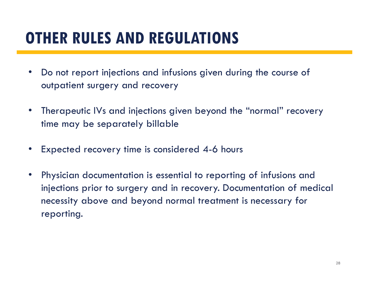### **OTHER RULES AND REGULATIONS**

- $\bullet$  Do not report injections and infusions given during the course of outpatient surgery and recovery
- • Therapeutic IVs and injections given beyond the "normal" recovery time may be separately billable
- •Expected recovery time is considered 4-6 hours
- • Physician documentation is essential to reporting of infusions and injections prior to surgery and in recovery. Documentation of medical necessity above and beyond normal treatment is necessary for reporting.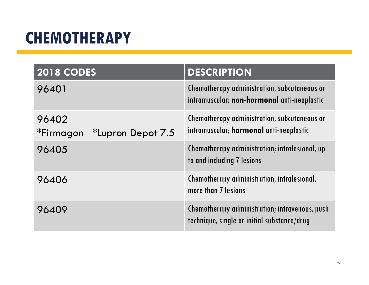| <b>2018 CODES</b>                       | <b>DESCRIPTION</b>                                                                            |
|-----------------------------------------|-----------------------------------------------------------------------------------------------|
| 96401                                   | Chemotherapy administration, subcutaneous or<br>intramuscular; non-hormonal anti-neoplastic   |
| 96402<br>*Lupron Depot 7.5<br>*Firmagon | Chemotherapy administration, subcutaneous or<br>intramuscular; hormonal anti-neoplastic       |
| 96405                                   | Chemotherapy administration; intralesional, up<br>to and including 7 lesions                  |
| 96406                                   | Chemotherapy administration, intralesional,<br>more than 7 lesions                            |
| 96409                                   | Chemotherapy administration; intravenous, push<br>technique, single or initial substance/drug |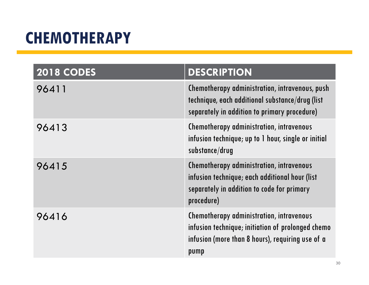| <b>2018 CODES</b> | <b>DESCRIPTION</b>                                                                                                                                        |
|-------------------|-----------------------------------------------------------------------------------------------------------------------------------------------------------|
| 96411             | Chemotherapy administration, intravenous, push<br>technique, each additional substance/drug (list<br>separately in addition to primary procedure)         |
| 96413             | Chemotherapy administration, intravenous<br>infusion technique; up to 1 hour, single or initial<br>substance/drug                                         |
| 96415             | Chemotherapy administration, intravenous<br>infusion technique; each additional hour (list<br>separately in addition to code for primary<br>procedure)    |
| 96416             | Chemotherapy administration, intravenous<br>infusion technique; initiation of prolonged chemo<br>infusion (more than 8 hours), requiring use of a<br>pump |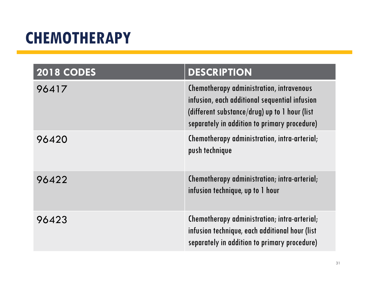| <b>2018 CODES</b> | <b>DESCRIPTION</b>                                                                                                                                                                          |
|-------------------|---------------------------------------------------------------------------------------------------------------------------------------------------------------------------------------------|
| 96417             | Chemotherapy administration, intravenous<br>infusion, each additional sequential infusion<br>(different substance/drug) up to 1 hour (list)<br>separately in addition to primary procedure) |
| 96420             | Chemotherapy administration, intra-arterial;<br>push technique                                                                                                                              |
| 96422             | Chemotherapy administration; intra-arterial;<br>infusion technique, up to 1 hour                                                                                                            |
| 96423             | Chemotherapy administration; intra-arterial;<br>infusion technique, each additional hour (list<br>separately in addition to primary procedure)                                              |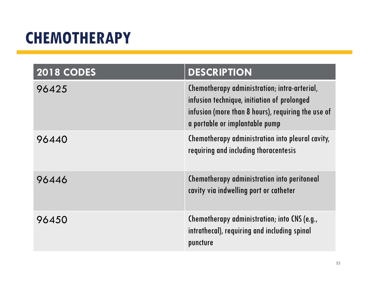| <b>2018 CODES</b> | <b>DESCRIPTION</b>                                                                                                                                                                  |
|-------------------|-------------------------------------------------------------------------------------------------------------------------------------------------------------------------------------|
| 96425             | Chemotherapy administration; intra-arterial,<br>infusion technique, initiation of prolonged<br>infusion (more than 8 hours), requiring the use of<br>a portable or implantable pump |
| 96440             | Chemotherapy administration into pleural cavity,<br>requiring and including thoracentesis                                                                                           |
| 96446             | Chemotherapy administration into peritoneal<br>cavity via indwelling port or catheter                                                                                               |
| 96450             | Chemotherapy administration; into CNS (e.g.,<br>intrathecal), requiring and including spinal<br>puncture                                                                            |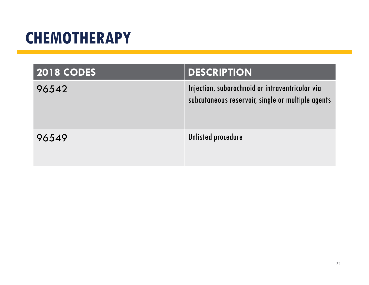| <b>2018 CODES</b> | <b>DESCRIPTION</b>                                                                                   |
|-------------------|------------------------------------------------------------------------------------------------------|
| 96542             | Injection, subarachnoid or intraventricular via<br>subcutaneous reservoir, single or multiple agents |
| 96549             | <b>Unlisted procedure</b>                                                                            |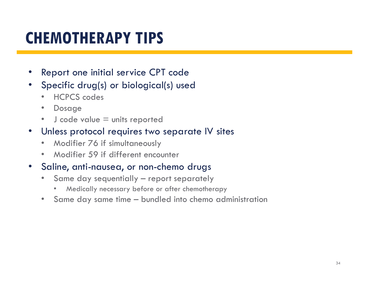## **CHEMOTHERAPY TIPS**

- •Report one initial service CPT code
- • Specific drug(s) or biological(s) used
	- •HCPCS codes
	- •Dosage
	- $\bullet$  $J \cdot$  code value  $J \cdot$  units reported
- $\bullet$  Unless protocol requires two separate IV sites
	- $\bullet$ Modifier 76 if simultaneously
	- $\bullet$ Modifier 59 if different encounter
- $\bullet$  Saline, anti-nausea, or non-chemo drugs
	- $\bullet$  Same day sequentially – report separately
		- •Medically necessary before or after chemotherapy
	- $\bullet$ Same day same time – bundled into chemo administration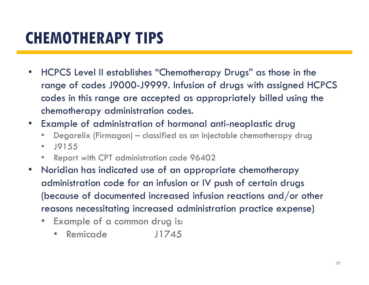## **CHEMOTHERAPY TIPS**

- $\bullet$  HCPCS Level II establishes "Chemotherapy Drugs" as those in the range of codes J9000-J9999. Infusion of drugs with assigned HCPCS codes in this range are accepted as appropriately billed using the chemotherapy administration codes.
- • Example of administration of hormonal anti-neoplastic drug
	- •Degarelix (Firmagon) – classified as an injectable chemotherapy drug
	- •J9155
	- •Report with CPT administration code 96402
- $\bullet$  Noridian has indicated use of an appropriate chemotherapy administration code for an infusion or IV push of certain drugs (because of documented increased infusion reactions and/or other reasons necessitating increased administration practice expense)
	- • Example of a common drug is:
		- •Remicade J1745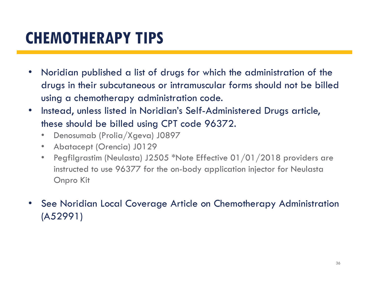### **CHEMOTHERAPY TIPS**

- $\bullet$  Noridian published a list of drugs for which the administration of the drugs in their subcutaneous or intramuscular forms should not be billed using a chemotherapy administration code.
- $\bullet$  Instead, unless listed in Noridian's Self-Administered Drugs article, these should be billed using CPT code 96372.
	- •Denosumab (Prolia/Xgeva) J0897
	- $\bullet$ Abatacept (Orencia) J0129
	- $\bullet$  Pegfilgrastim (Neulasta) J2505 \*Note Effective 01/01/2018 providers are instructed to use 96377 for the on-body application injector for Neulasta Onpro Kit
- • See Noridian Local Coverage Article on Chemotherapy Administration (A52991)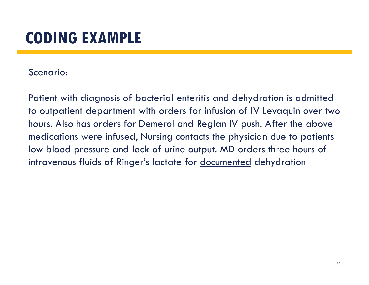Scenario:

Patient with diagnosis of bacterial enteritis and dehydration is admitted to outpatient department with orders for infusion of IV Levaquin over two hours. Also has orders for Demerol and Reglan IV push. After the above medications were infused, Nursing contacts the physician due to patients low blood pressure and lack of urine output. MD orders three hours of intravenous fluids of Ringer's lactate for documented dehydration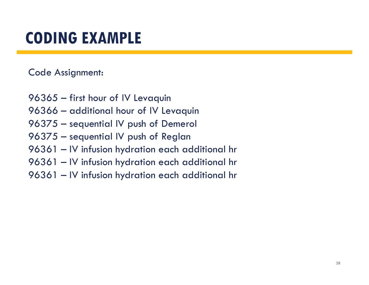Code Assignment:

- 96365 first hour of IV Levaquin
- 96366 additional hour of IV Levaquin
- 96375 sequential IV push of Demerol
- 96375 sequential IV push of Reglan
- 96361 IV infusion hydration each additional hr
- 96361 IV infusion hydration each additional hr
- 96361 IV infusion hydration each additional hr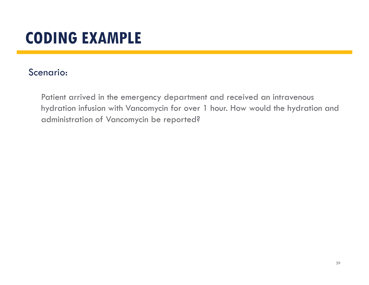#### Scenario:

Patient arrived in the emergency department and received an intravenous hydration infusion with Vancomycin for over 1 hour. How would the hydration and administration of Vancomycin be reported?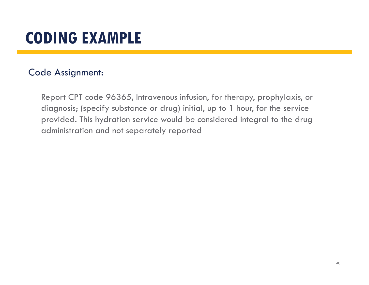#### Code Assignment:

Report CPT code 96365, Intravenous infusion, for therapy, prophylaxis, or diagnosis; (specify substance or drug) initial, up to 1 hour, for the service provided. This hydration service would be considered integral to the drug administration and not separately reported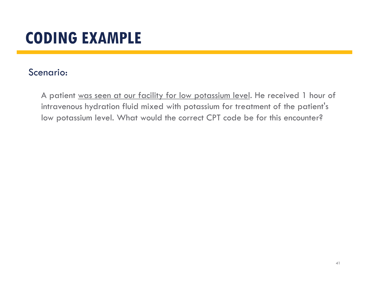#### Scenario:

A patient was seen at our facility for low potassium level. He received 1 hour of intravenous hydration fluid mixed with potassium for treatment of the patient's low potassium level. What would the correct CPT code be for this encounter?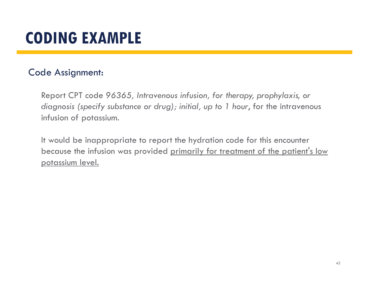#### Code Assignment:

Report CPT code *96365, Intravenous infusion, for therapy, prophylaxis, or diagnosis (specify substance or drug); initial, up to 1 hour*, for the intravenous infusion of potassium.

It would be inappropriate to report the hydration code for this encounter because the infusion was provided primarily for treatment of the patient's low potassium level.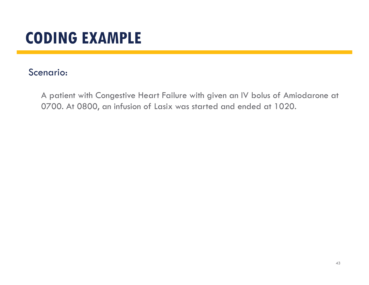#### Scenario:

A patient with Congestive Heart Failure with given an IV bolus of Amiodarone at 0700. At 0800, an infusion of Lasix was started and ended at 1020.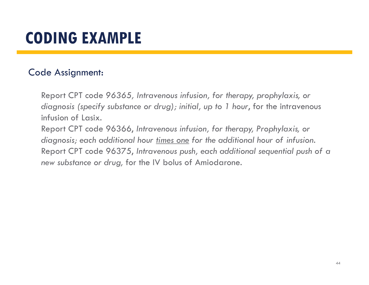#### Code Assignment:

Report CPT code *96365, Intravenous infusion, for therapy, prophylaxis, or diagnosis (specify substance or drug); initial, up to 1 hour*, for the intravenous infusion of Lasix.

Report CPT code 96366, *Intravenous infusion, for therapy, Prophylaxis, or diagnosis; each additional hour times one for the additional hour of infusion.*  Report CPT code 96375, *Intravenous push, each additional sequential push of a new substance or drug,* for the IV bolus of Amiodarone.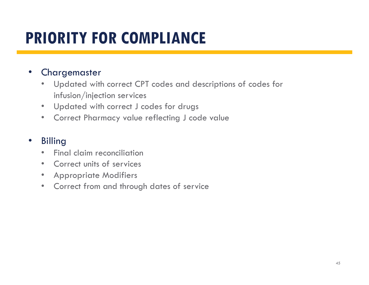# **PRIORITY FOR COMPLIANCE**

#### $\bullet$ Chargemaster

- $\bullet$  Updated with correct CPT codes and descriptions of codes for infusion/injection services
- $\bullet$ Updated with correct J codes for drugs
- $\bullet$ Correct Pharmacy value reflecting J code value

#### $\bullet$ Billing

- $\bullet$ Final claim reconciliation
- $\bullet$ Correct units of services
- $\bullet$ Appropriate Modifiers
- $\bullet$ Correct from and through dates of service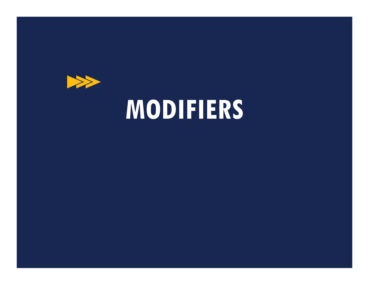

# **MODIFIERS**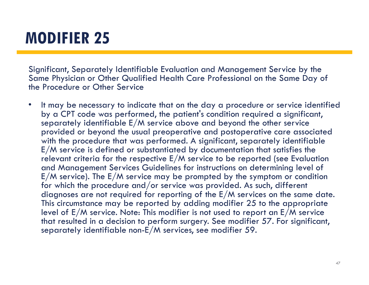#### **MODIFIER 25**

Significant, Separately Identifiable Evaluation and Management Service by the Same Physician or Other Qualified Health Care Professional on the Same Day of the Procedure or Other Service

• It may be necessary to indicate that on the day a procedure or service identified by a CPT code was performed, the patient's condition required a significant, separately identifiable E/M service above and beyond the other service provided or beyond the usual preoperative and postoperative care associated with the procedure that was performed. A significant, separately identifiable E/M service is defined or substantiated by documentation that satisfies the relevant criteria for the respective E/M service to be reported (see Evaluation and Management Services Guidelines for instructions on determining level of  $E/M$  service). The  $E/M$  service may be prompted by the symptom or condition for which the procedure and/or service was provided. As such, different diagnoses are not required for reporting of the E/M services on the same date. This circumstance may be reported by adding modifier 25 to the appropriate level of E/M service. Note: This modifier is not used to report an E/M service that resulted in a decision to perform surgery. See modifier 57. For significant, separately identifiable non-E/M services, see modifier 59.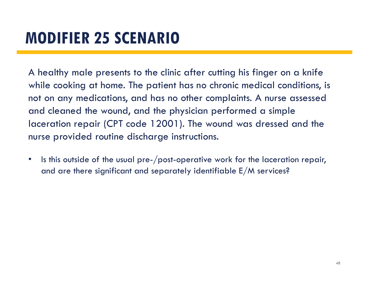#### **MODIFIER 25 SCENARIO**

A healthy male presents to the clinic after cutting his finger on a knife while cooking at home. The patient has no chronic medical conditions, is not on any medications, and has no other complaints. A nurse assessed and cleaned the wound, and the physician performed a simple laceration repair (CPT code 12001). The wound was dressed and the nurse provided routine discharge instructions.

 $\bullet$  Is this outside of the usual pre-/post-operative work for the laceration repair, and are there significant and separately identifiable E/M services?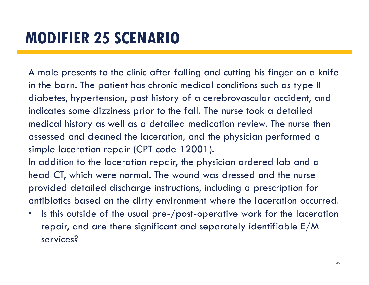#### **MODIFIER 25 SCENARIO**

A male presents to the clinic after falling and cutting his finger on a knife in the barn. The patient has chronic medical conditions such as type II diabetes, hypertension, past history of a cerebrovascular accident, and indicates some dizziness prior to the fall. The nurse took a detailed medical history as well as a detailed medication review. The nurse then assessed and cleaned the laceration, and the physician performed a simple laceration repair (CPT code 12001).

In addition to the laceration repair, the physician ordered lab and a head CT, which were normal. The wound was dressed and the nurse provided detailed discharge instructions, including a prescription for antibiotics based on the dirty environment where the laceration occurred.

• Is this outside of the usual pre-/post-operative work for the laceration repair, and are there significant and separately identifiable E/M services?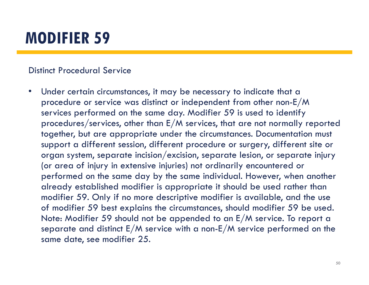#### **MODIFIER 59**

#### Distinct Procedural Service

 $\bullet$  Under certain circumstances, it may be necessary to indicate that a procedure or service was distinct or independent from other non-E/M services performed on the same day. Modifier 59 is used to identify procedures/services, other than E/M services, that are not normally reported together, but are appropriate under the circumstances. Documentation must support a different session, different procedure or surgery, different site or organ system, separate incision/excision, separate lesion, or separate injury (or area of injury in extensive injuries) not ordinarily encountered or performed on the same day by the same individual. However, when another already established modifier is appropriate it should be used rather than modifier 59. Only if no more descriptive modifier is available, and the use of modifier 59 best explains the circumstances, should modifier 59 be used. Note: Modifier 59 should not be appended to an E/M service. To report a separate and distinct  $E/M$  service with a non- $E/M$  service performed on the same date, see modifier 25.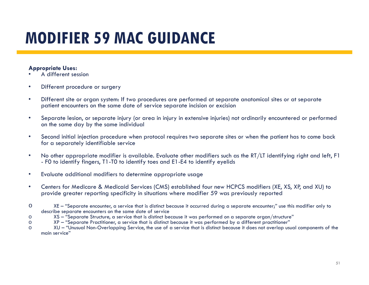# **MODIFIER 59 MAC GUIDANCE**

#### **Appropriate Uses:**

- •A different session
- •Different procedure or surgery
- $\bullet$  Different site or organ system: If two procedures are performed at separate anatomical sites or at separate patient encounters on the same date of service separate incision or excision
- $\bullet$  Separate lesion, or separate injury (or area in injury in extensive injuries) not ordinarily encountered or performed on the same day by the same individual
- • Second initial injection procedure when protocol requires two separate sites or when the patient has to come back for a separately identifiable service
- • No other appropriate modifier is available. Evaluate other modifiers such as the RT/LT identifying right and left, F1 - F0 to identify fingers, T1-T0 to identify toes and E1-E4 to identify eyelids
- $\bullet$ Evaluate additional modifiers to determine appropriate usage
- $\bullet$  Centers for Medicare & Medicaid Services (CMS) established four new HCPCS modifiers (XE, XS, XP, and XU) to provide greater reporting specificity in situations where modifier 59 was previously reported
- o XE – "Separate encounter, a service that is distinct because it occurred during a separate encounter;" use this modifier only to describe separate encounters on the same date of service
- oXS – "Separate Structure, a service that is distinct because it was performed on a separate organ/structure"
- oXP – "Separate Practitioner, a service that is distinct because it was performed by a different practitioner"
- o XU – "Unusual Non-Overlapping Service, the use of a service that is distinct because it does not overlap usual components of the main service"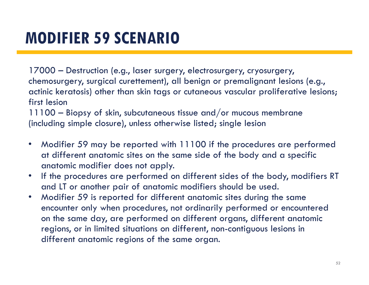#### **MODIFIER 59 SCENARIO**

17000 – Destruction (e.g., laser surgery, electrosurgery, cryosurgery, chemosurgery, surgical curettement), all benign or premalignant lesions (e.g., actinic keratosis) other than skin tags or cutaneous vascular proliferative lesions; first lesion

11100 – Biopsy of skin, subcutaneous tissue and/or mucous membrane (including simple closure), unless otherwise listed; single lesion

- $\bullet$  Modifier 59 may be reported with 11100 if the procedures are performed at different anatomic sites on the same side of the body and a specific anatomic modifier does not apply.
- $\bullet$  If the procedures are performed on different sides of the body, modifiers RT and LT or another pair of anatomic modifiers should be used.
- $\bullet$  Modifier 59 is reported for different anatomic sites during the same encounter only when procedures, not ordinarily performed or encountered on the same day, are performed on different organs, different anatomic regions, or in limited situations on different, non-contiguous lesions in different anatomic regions of the same organ.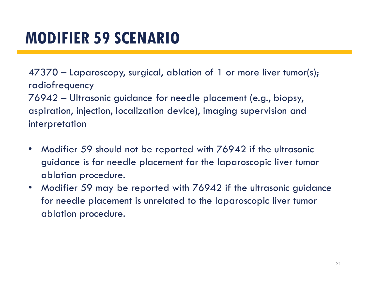#### **MODIFIER 59 SCENARIO**

47370 – Laparoscopy, surgical, ablation of 1 or more liver tumor(s); radiofrequency 76942 – Ultrasonic guidance for needle placement (e.g., biopsy, aspiration, injection, localization device), imaging supervision and interpretation

- $\bullet$  Modifier 59 should not be reported with 76942 if the ultrasonic guidance is for needle placement for the laparoscopic liver tumor ablation procedure.
- • Modifier 59 may be reported with 76942 if the ultrasonic guidance for needle placement is unrelated to the laparoscopic liver tumor ablation procedure.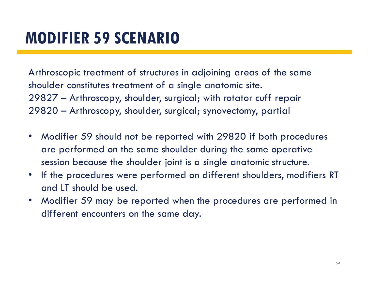#### **MODIFIER 59 SCENARIO**

Arthroscopic treatment of structures in adjoining areas of the same shoulder constitutes treatment of a single anatomic site. 29827 – Arthroscopy, shoulder, surgical; with rotator cuff repair 29820 – Arthroscopy, shoulder, surgical; synovectomy, partial

- $\bullet$  Modifier 59 should not be reported with 29820 if both procedures are performed on the same shoulder during the same operative session because the shoulder joint is a single anatomic structure.
- $\bullet$  If the procedures were performed on different shoulders, modifiers RT and LT should be used.
- $\bullet$  Modifier 59 may be reported when the procedures are performed in different encounters on the same day.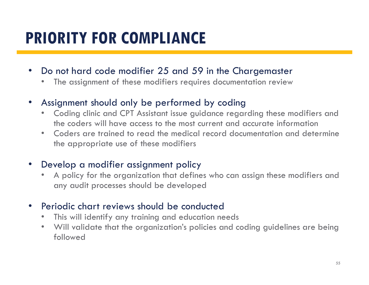# **PRIORITY FOR COMPLIANCE**

- • Do not hard code modifier 25 and 59 in the Chargemaster
	- •The assignment of these modifiers requires documentation review
- $\bullet$  Assignment should only be performed by coding
	- • Coding clinic and CPT Assistant issue guidance regarding these modifiers and the coders will have access to the most current and accurate information
	- • Coders are trained to read the medical record documentation and determine the appropriate use of these modifiers

#### •Develop a modifier assignment policy

- • A policy for the organization that defines who can assign these modifiers and any audit processes should be developed
- $\bullet$  Periodic chart reviews should be conducted
	- $\bullet$ This will identify any training and education needs
	- $\bullet$  Will validate that the organization's policies and coding guidelines are being followed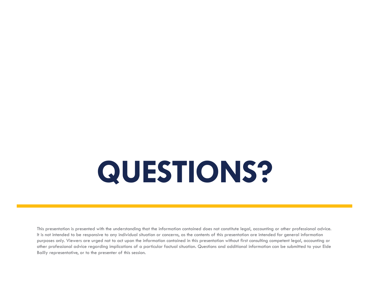# **QUESTIONS?**

This presentation is presented with the understanding that the information contained does not constitute legal, accounting or other professional advice. It is not intended to be responsive to any individual situation or concerns, as the contents of this presentation are intended for general information purposes only. Viewers are urged not to act upon the information contained in this presentation without first consulting competent legal, accounting or other professional advice regarding implications of a particular factual situation. Questions and additional information can be submitted to your Eide Bailly representative, or to the presenter of this session.